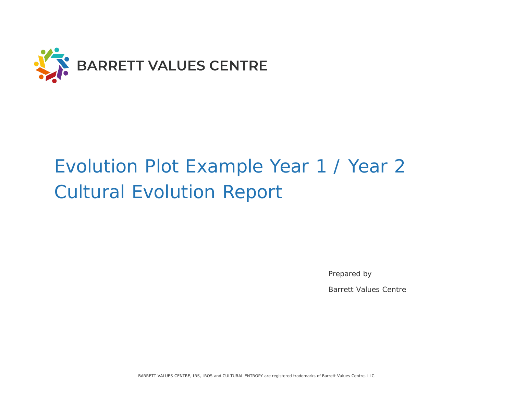

# Evolution Plot Example Year 1 / Year 2 Cultural Evolution Report

Prepared by

Barrett Values Centre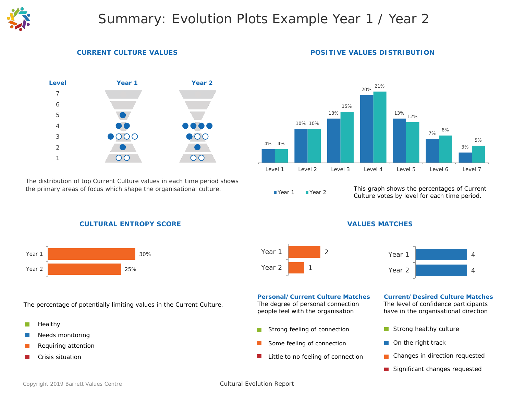

## Summary: Evolution Plots Example Year 1 / Year 2

#### **CURRENT CULTURE VALUES**



*The distribution of top Current Culture values in each time period shows the primary areas of focus which shape the organisational culture.*

#### 4% 4% 10% 10% 13% 20% 13% 12% 7% 3% 15% 21% 8% 5%

Level 1 Level 2 Level 3 Level 4 Level 5 Level 6 Level 7

#### Year 1 Year 2

*This graph shows the percentages of Current Culture votes by level for each time period.*

#### **CULTURAL ENTROPY SCORE**



*The percentage of potentially limiting values in the Current Culture.*

- F. Healthy
- Needs monitoring
- Requiring attention
- Crisis situation

#### **VALUES MATCHES**





#### **Personal/Current Culture Matches Current/Desired Culture Matches**

*The degree of personal connection people feel with the organisation*

- r. Strong feeling of connection
- Some feeling of connection П
- Little to no feeling of connection  $\mathbb{R}^2$

*The level of confidence participants have in the organisational direction*

- Strong healthy culture
- $\blacksquare$  On the right track
- Changes in direction requested
- Significant changes requested

#### Cultural Evolution Report

#### **POSITIVE VALUES DISTRIBUTION**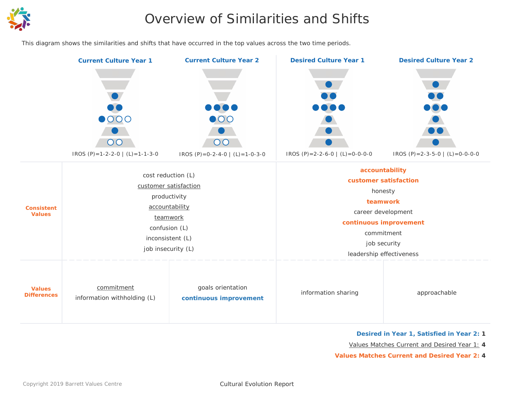

## Overview of Similarities and Shifts

*This diagram shows the similarities and shifts that have occurred in the top values across the two time periods.*



#### **Desired in Year 1, Satisfied in Year 2: 1**

Values Matches Current and Desired Year 1: **4**

**Values Matches Current and Desired Year 2: 4**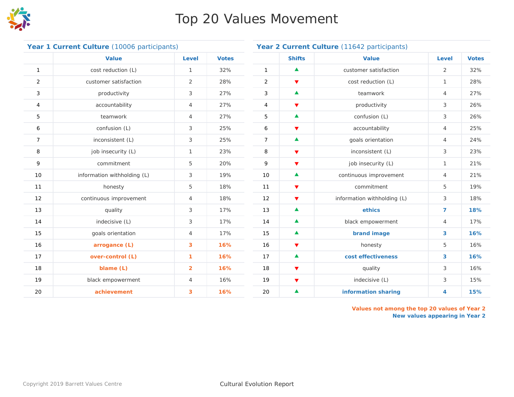

## Top 20 Values Movement

| Year 1 Current Culture (10006 participants) |                             |                |              | Year 2 Current Culture (11642 participants) |                      |                             |                |              |
|---------------------------------------------|-----------------------------|----------------|--------------|---------------------------------------------|----------------------|-----------------------------|----------------|--------------|
|                                             | <b>Value</b>                | Level          | <b>Votes</b> |                                             | <b>Shifts</b>        | <b>Value</b>                | <b>Level</b>   | <b>Votes</b> |
| $\mathbf{1}$                                | cost reduction (L)          | $\mathbf{1}$   | 32%          | $\mathbf{1}$                                | $\blacktriangle$     | customer satisfaction       | $\overline{2}$ | 32%          |
| $\overline{a}$                              | customer satisfaction       | 2              | 28%          | $\overline{2}$                              | $\blacktriangledown$ | cost reduction (L)          | 1              | 28%          |
| 3                                           | productivity                | 3              | 27%          | 3                                           | $\blacktriangle$     | teamwork                    | $\overline{4}$ | 27%          |
| 4                                           | accountability              | $\overline{4}$ | 27%          | $\overline{4}$                              | $\blacktriangledown$ | productivity                | 3              | 26%          |
| 5                                           | teamwork                    | $\overline{4}$ | 27%          | 5                                           | $\blacktriangle$     | confusion (L)               | 3              | 26%          |
| 6                                           | confusion (L)               | 3              | 25%          | 6                                           | $\blacktriangledown$ | accountability              | $\overline{4}$ | 25%          |
| $\overline{7}$                              | inconsistent (L)            | 3              | 25%          | $7^{\circ}$                                 | $\blacktriangle$     | goals orientation           | $\overline{4}$ | 24%          |
| 8                                           | job insecurity (L)          | $\mathbf{1}$   | 23%          | 8                                           | $\blacktriangledown$ | inconsistent (L)            | 3              | 23%          |
| 9                                           | commitment                  | 5              | 20%          | 9                                           | $\blacktriangledown$ | job insecurity (L)          | 1              | 21%          |
| 10                                          | information withholding (L) | 3              | 19%          | 10                                          | $\blacktriangle$     | continuous improvement      | $\overline{4}$ | 21%          |
| 11                                          | honesty                     | 5              | 18%          | 11                                          | $\blacktriangledown$ | commitment                  | 5              | 19%          |
| 12                                          | continuous improvement      | $\overline{4}$ | 18%          | 12                                          | $\blacktriangledown$ | information withholding (L) | 3              | 18%          |
| 13                                          | quality                     | 3              | 17%          | 13                                          | $\blacktriangle$     | ethics                      | $\overline{7}$ | 18%          |
| 14                                          | indecisive (L)              | 3              | 17%          | 14                                          | $\blacktriangle$     | black empowerment           | $\overline{4}$ | 17%          |
| 15                                          | goals orientation           | $\overline{4}$ | 17%          | 15                                          | $\blacktriangle$     | brand image                 | 3              | 16%          |
| 16                                          | arrogance (L)               | 3              | 16%          | 16                                          | $\blacktriangledown$ | honesty                     | 5              | 16%          |
| 17                                          | over-control (L)            | $\mathbf{1}$   | 16%          | 17                                          | $\blacktriangle$     | cost effectiveness          | 3              | 16%          |
| 18                                          | blame (L)                   | $\overline{2}$ | 16%          | 18                                          | $\blacktriangledown$ | quality                     | 3              | 16%          |
| 19                                          | black empowerment           | $\overline{4}$ | 16%          | 19                                          | $\blacktriangledown$ | indecisive (L)              | 3              | 15%          |
| 20                                          | achievement                 | 3              | 16%          | 20                                          | $\blacktriangle$     | information sharing         | 4              | 15%          |

*Values not among the top 20 values of Year 2 New values appearing in Year 2*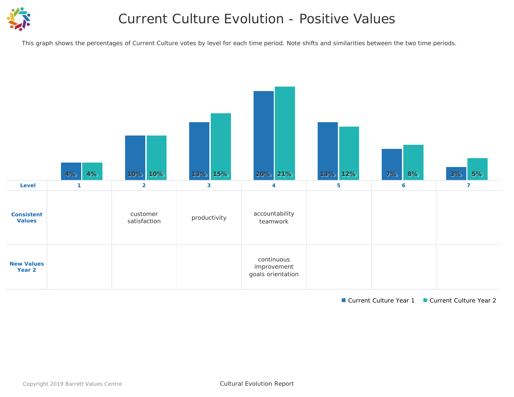

## Current Culture Evolution - Positive Values

*This graph shows the percentages of Current Culture votes by level for each time period. Note shifts and similarities between the two time periods.*



■ Current Culture Year 1 ■ Current Culture Year 2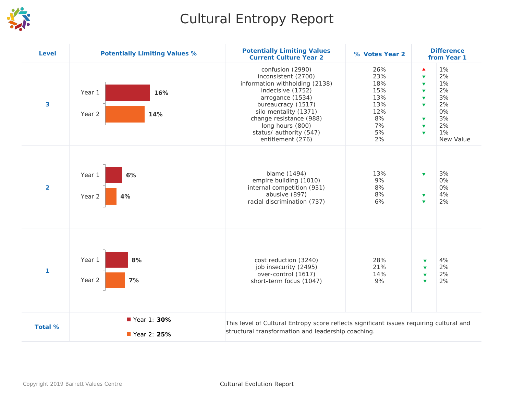

## Cultural Entropy Report

| <b>Level</b>            | <b>Potentially Limiting Values %</b> | <b>Potentially Limiting Values</b><br><b>Current Culture Year 2</b>                                                                                                                                                                                              | % Votes Year 2                                                        | <b>Difference</b><br>from Year 1                                                                                                                                                                                                                                                       |
|-------------------------|--------------------------------------|------------------------------------------------------------------------------------------------------------------------------------------------------------------------------------------------------------------------------------------------------------------|-----------------------------------------------------------------------|----------------------------------------------------------------------------------------------------------------------------------------------------------------------------------------------------------------------------------------------------------------------------------------|
| $\overline{\mathbf{3}}$ | Year 1<br>16%<br>Year 2<br>14%       | confusion (2990)<br>inconsistent (2700)<br>information withholding (2138)<br>indecisive (1752)<br>arrogance (1534)<br>bureaucracy (1517)<br>silo mentality (1371)<br>change resistance (988)<br>long hours (800)<br>status/ authority (547)<br>entitlement (276) | 26%<br>23%<br>18%<br>15%<br>13%<br>13%<br>12%<br>8%<br>7%<br>5%<br>2% | 1%<br>▲<br>2%<br>$\overline{\mathbf{v}}$<br>1%<br>$\blacktriangledown$<br>2%<br>$\overline{\mathbf{v}}$<br>3%<br>$\blacktriangledown$<br>2%<br>$\overline{\mathbf{v}}$<br>0%<br>3%<br>$\blacktriangledown$<br>2%<br>$\blacktriangledown$<br>1%<br>$\overline{\mathbf{v}}$<br>New Value |
| $\overline{2}$          | 6%<br>Year 1<br>Year 2<br>4%         | blame (1494)<br>empire building (1010)<br>internal competition (931)<br>abusive (897)<br>racial discrimination (737)                                                                                                                                             | 13%<br>9%<br>8%<br>8%<br>6%                                           | 3%<br>$\overline{\mathbf{v}}$<br>0%<br>0%<br>4%<br>$\blacktriangledown$<br>2%<br>$\blacktriangledown$                                                                                                                                                                                  |
| 1                       | Year 1<br>8%<br>7%<br>Year 2         | cost reduction (3240)<br>job insecurity (2495)<br>over-control (1617)<br>short-term focus (1047)                                                                                                                                                                 | 28%<br>21%<br>14%<br>9%                                               | 4%<br>$\overline{\mathbf{v}}$<br>2%<br>$\blacktriangledown$<br>2%<br>$\overline{\mathbf{v}}$<br>2%<br>$\overline{\mathbf{v}}$                                                                                                                                                          |
| <b>Total %</b>          | Year 1: 30%<br>Year 2: 25%           | This level of Cultural Entropy score reflects significant issues requiring cultural and<br>structural transformation and leadership coaching.                                                                                                                    |                                                                       |                                                                                                                                                                                                                                                                                        |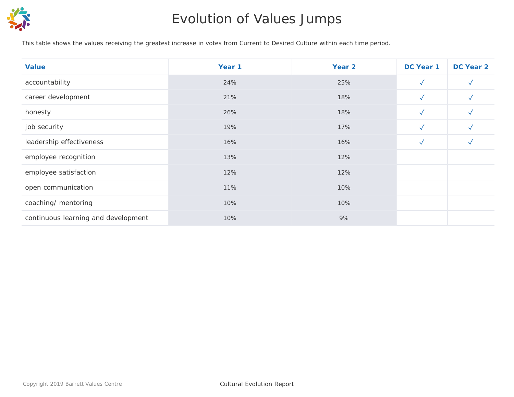

## Evolution of Values Jumps

*This table shows the values receiving the greatest increase in votes from Current to Desired Culture within each time period.*

| <b>Value</b>                        | Year 1 | Year 2 | DC Year 1    | DC Year 2    |
|-------------------------------------|--------|--------|--------------|--------------|
| accountability                      | 24%    | 25%    | $\checkmark$ | $\sqrt{}$    |
| career development                  | 21%    | 18%    | $\checkmark$ | $\checkmark$ |
| honesty                             | 26%    | 18%    | $\sqrt{}$    | $\checkmark$ |
| job security                        | 19%    | 17%    | $\checkmark$ | $\checkmark$ |
| leadership effectiveness            | 16%    | 16%    | $\checkmark$ | $\checkmark$ |
| employee recognition                | 13%    | 12%    |              |              |
| employee satisfaction               | 12%    | 12%    |              |              |
| open communication                  | 11%    | 10%    |              |              |
| coaching/ mentoring                 | 10%    | 10%    |              |              |
| continuous learning and development | 10%    | 9%     |              |              |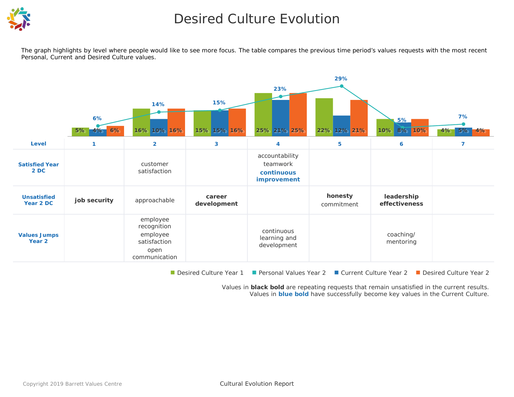

## Desired Culture Evolution

*The graph highlights by level where people would like to see more focus. The table compares the previous time period's values requests with the most recent Personal, Current and Desired Culture values.*



■ Desired Culture Year 1 ■ Personal Values Year 2 ■ Current Culture Year 2 ■ Desired Culture Year 2

Values in **black bold** are repeating requests that remain unsatisfied in the current results. Values in **blue bold** have successfully become key values in the Current Culture.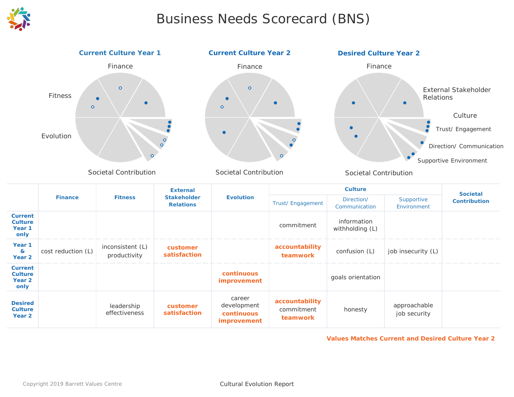

## Business Needs Scorecard (BNS)



Societal Contribution

|                                                               |                    |                                  | <b>External</b>                        | <b>Evolution</b>                                          |                                          | <b>Societal</b>                |                              |                     |
|---------------------------------------------------------------|--------------------|----------------------------------|----------------------------------------|-----------------------------------------------------------|------------------------------------------|--------------------------------|------------------------------|---------------------|
|                                                               | <b>Finance</b>     | <b>Fitness</b>                   | <b>Stakeholder</b><br><b>Relations</b> |                                                           | Trust/Engagement                         | Direction/<br>Communication    | Supportive<br>Environment    | <b>Contribution</b> |
| <b>Current</b><br><b>Culture</b><br>Year <sub>1</sub><br>only |                    |                                  |                                        |                                                           | commitment                               | information<br>withholding (L) |                              |                     |
| Year <sub>1</sub><br>$\mathbf{z}$<br>Year 2                   | cost reduction (L) | inconsistent (L)<br>productivity | customer<br>satisfaction               |                                                           | accountability<br>teamwork               | confusion (L)                  | job insecurity (L)           |                     |
| <b>Current</b><br><b>Culture</b><br>Year 2<br>only            |                    |                                  |                                        | continuous<br><i>improvement</i>                          |                                          | goals orientation              |                              |                     |
| <b>Desired</b><br><b>Culture</b><br>Year 2                    |                    | leadership<br>effectiveness      | customer<br>satisfaction               | career<br>development<br>continuous<br><i>improvement</i> | accountability<br>commitment<br>teamwork | honesty                        | approachable<br>job security |                     |

**Values Matches Current and Desired Culture Year 2**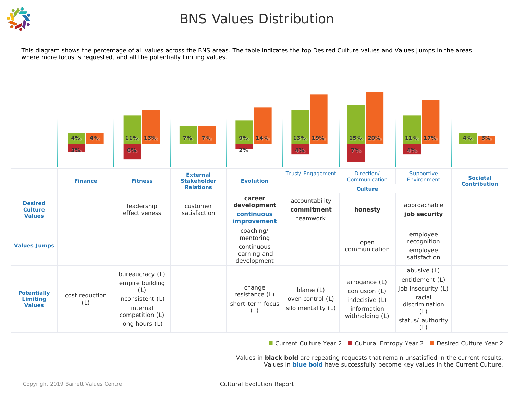

## BNS Values Distribution

*This diagram shows the percentage of all values across the BNS areas. The table indicates the top Desired Culture values and Values Jumps in the areas where more focus is requested, and all the potentially limiting values.*



■ Current Culture Year 2 ■ Cultural Entropy Year 2 ■ Desired Culture Year 2

Values in **black bold** are repeating requests that remain unsatisfied in the current results. Values in **blue bold** have successfully become key values in the Current Culture.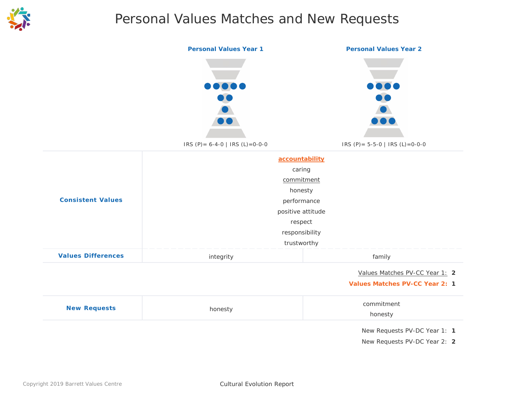

## Personal Values Matches and New Requests

|                           | <b>Personal Values Year 1</b>               | <b>Personal Values Year 2</b>                                         |  |  |
|---------------------------|---------------------------------------------|-----------------------------------------------------------------------|--|--|
|                           | 1000<br>IRS (P) = $6-4-0$   IRS (L) = 0-0-0 | 1000<br>$\bullet$<br>$\bullet$<br>IRS (P) = $5-5-0$   IRS (L) = 0-0-0 |  |  |
|                           |                                             | accountability<br>caring                                              |  |  |
|                           |                                             | commitment                                                            |  |  |
|                           | honesty                                     |                                                                       |  |  |
| <b>Consistent Values</b>  | performance                                 |                                                                       |  |  |
|                           |                                             | positive attitude                                                     |  |  |
|                           |                                             | respect                                                               |  |  |
|                           |                                             | responsibility                                                        |  |  |
|                           |                                             | trustworthy                                                           |  |  |
| <b>Values Differences</b> | integrity                                   | family                                                                |  |  |
|                           |                                             | Values Matches PV-CC Year 1: 2                                        |  |  |
|                           |                                             | <b>Values Matches PV-CC Year 2: 1</b>                                 |  |  |
| <b>New Requests</b>       |                                             | commitment                                                            |  |  |
|                           | honesty                                     | honesty                                                               |  |  |
|                           |                                             | New Requests PV-DC Year 1: 1                                          |  |  |
|                           |                                             | New Requests PV-DC Year 2: 2                                          |  |  |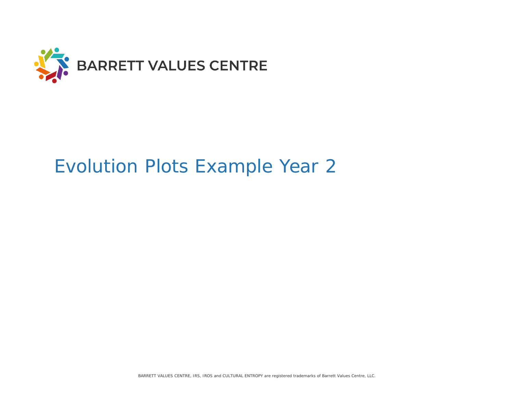

# Evolution Plots Example Year 2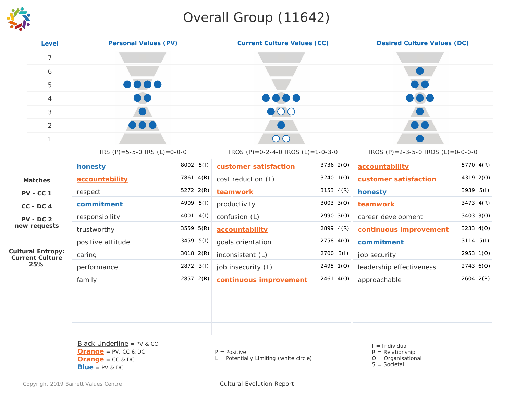## Overall Group (11642)



| <b>Personal Values (PV)</b><br><b>Level</b>        |                                                                                                  |           | <b>Current Culture Values (CC)</b>                          |           | <b>Desired Culture Values (DC)</b>                                             |             |  |
|----------------------------------------------------|--------------------------------------------------------------------------------------------------|-----------|-------------------------------------------------------------|-----------|--------------------------------------------------------------------------------|-------------|--|
| $\overline{7}$                                     |                                                                                                  |           |                                                             |           |                                                                                |             |  |
| 6                                                  |                                                                                                  |           |                                                             |           |                                                                                |             |  |
| 5                                                  | DOC                                                                                              |           |                                                             |           |                                                                                |             |  |
| 4                                                  |                                                                                                  |           |                                                             |           |                                                                                |             |  |
| 3                                                  |                                                                                                  |           | $\bullet$ 00                                                |           |                                                                                |             |  |
| $\overline{2}$                                     |                                                                                                  |           |                                                             |           |                                                                                |             |  |
| $\mathbf{1}$                                       |                                                                                                  |           | OC                                                          |           |                                                                                |             |  |
|                                                    | IRS $(P) = 5 - 5 - 0$ IRS $(L) = 0 - 0 - 0$                                                      |           | IROS (P)=0-2-4-0 IROS (L)=1-0-3-0                           |           | IROS (P) = 2-3-5-0 IROS (L) = 0-0-0-0                                          |             |  |
|                                                    | honesty                                                                                          | 8002 5(1) | customer satisfaction                                       | 3736 2(O) | accountability                                                                 | 5770 4(R)   |  |
| <b>Matches</b>                                     | accountability                                                                                   | 7861 4(R) | cost reduction (L)                                          | 3240 1(O) | customer satisfaction                                                          | 4319 2(O)   |  |
| <b>PV - CC 1</b>                                   | respect                                                                                          | 5272 2(R) | teamwork                                                    | 3153 4(R) | honesty                                                                        | 3939 5(I)   |  |
| $CC - DC 4$                                        | commitment                                                                                       | 4909 5(I) | productivity                                                | 3003 3(O) | teamwork                                                                       | 3473 4(R)   |  |
| $PV - DC$ 2                                        | responsibility                                                                                   | 4001 4(I) | confusion (L)                                               | 2990 3(0) | career development                                                             | 3403 3(O)   |  |
| new requests                                       | trustworthy                                                                                      | 3559 5(R) | accountability                                              | 2899 4(R) | continuous improvement                                                         | 3233 4(O)   |  |
|                                                    | positive attitude                                                                                | 3459 5(I) | goals orientation                                           | 2758 4(0) | commitment                                                                     | $3114$ 5(I) |  |
| <b>Cultural Entropy:</b><br><b>Current Culture</b> | caring                                                                                           | 3018 2(R) | inconsistent (L)                                            | 2700 3(I) | job security                                                                   | 2953 1(0)   |  |
| 25%                                                | performance                                                                                      | 2872 3(I) | job insecurity (L)                                          | 2495 1(0) | leadership effectiveness                                                       | 2743 6(0)   |  |
|                                                    | family                                                                                           | 2857 2(R) | continuous improvement                                      | 2461 4(0) | approachable                                                                   | 2604 2(R)   |  |
|                                                    |                                                                                                  |           |                                                             |           |                                                                                |             |  |
|                                                    |                                                                                                  |           |                                                             |           |                                                                                |             |  |
|                                                    |                                                                                                  |           |                                                             |           |                                                                                |             |  |
|                                                    |                                                                                                  |           |                                                             |           |                                                                                |             |  |
|                                                    | Black Underline = $PV$ & CC<br>$Orange = PV$ , CC & DC<br>$Orange = CC & DC$<br>$Blue = PV & DC$ |           | $P = Positive$<br>$L =$ Potentially Limiting (white circle) |           | $I =$ Individual<br>$R = Relationship$<br>$O = Organisational$<br>$S = Social$ |             |  |